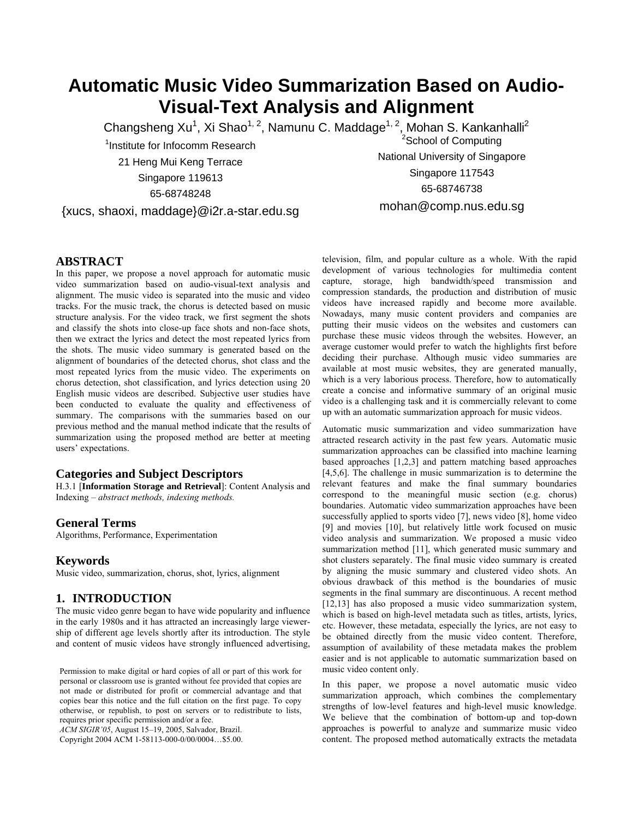# **Automatic Music Video Summarization Based on Audio-Visual-Text Analysis and Alignment**

Changsheng Xu<sup>1</sup>, Xi Shao<sup>1, 2</sup>, Namunu C. Maddage<sup>1, 2</sup>, Mohan S. Kankanhalli<sup>2</sup> <sup>2</sup>School of Computing

<sup>1</sup>Institute for Infocomm Research 21 Heng Mui Keng Terrace Singapore 119613 65-68748248

{xucs, shaoxi, maddage}@i2r.a-star.edu.sg

National University of Singapore Singapore 117543

65-68746738

mohan@comp.nus.edu.sg

## **ABSTRACT**

In this paper, we propose a novel approach for automatic music video summarization based on audio-visual-text analysis and alignment. The music video is separated into the music and video tracks. For the music track, the chorus is detected based on music structure analysis. For the video track, we first segment the shots and classify the shots into close-up face shots and non-face shots, then we extract the lyrics and detect the most repeated lyrics from the shots. The music video summary is generated based on the alignment of boundaries of the detected chorus, shot class and the most repeated lyrics from the music video. The experiments on chorus detection, shot classification, and lyrics detection using 20 English music videos are described. Subjective user studies have been conducted to evaluate the quality and effectiveness of summary. The comparisons with the summaries based on our previous method and the manual method indicate that the results of summarization using the proposed method are better at meeting users' expectations.

### **Categories and Subject Descriptors**

H.3.1 [**Information Storage and Retrieval**]: Content Analysis and Indexing – *abstract methods, indexing methods.* 

### **General Terms**

Algorithms, Performance, Experimentation

### **Keywords**

Music video, summarization, chorus, shot, lyrics, alignment

### **1. INTRODUCTION**

The music video genre began to have wide popularity and influence in the early 1980s and it has attracted an increasingly large viewership of different age levels shortly after its introduction. The style and content of music videos have strongly influenced advertising,

Permission to make digital or hard copies of all or part of this work for music video content only. personal or classroom use is granted without fee provided that copies are not made or distributed for profit or commercial advantage and that copies bear this notice and the full citation on the first page. To copy otherwise, or republish, to post on servers or to redistribute to lists, requires prior specific permission and/or a fee.

*ACM SIGIR'05*, August 15–19, 2005, Salvador, Brazil.

Copyright 2004 ACM 1-58113-000-0/00/0004…\$5.00.

television, film, and popular culture as a whole. With the rapid development of various technologies for multimedia content capture, storage, high bandwidth/speed transmission and compression standards, the production and distribution of music videos have increased rapidly and become more available. Nowadays, many music content providers and companies are putting their music videos on the websites and customers can purchase these music videos through the websites. However, an average customer would prefer to watch the highlights first before deciding their purchase. Although music video summaries are available at most music websites, they are generated manually, which is a very laborious process. Therefore, how to automatically create a concise and informative summary of an original music video is a challenging task and it is commercially relevant to come up with an automatic summarization approach for music videos.

Automatic music summarization and video summarization have attracted research activity in the past few years. Automatic music summarization approaches can be classified into machine learning based approaches [1,2,3] and pattern matching based approaches [4,5,6]. The challenge in music summarization is to determine the relevant features and make the final summary boundaries correspond to the meaningful music section (e.g. chorus) boundaries. Automatic video summarization approaches have been successfully applied to sports video [7], news video [8], home video [9] and movies [10], but relatively little work focused on music video analysis and summarization. We proposed a music video summarization method [11], which generated music summary and shot clusters separately. The final music video summary is created by aligning the music summary and clustered video shots. An obvious drawback of this method is the boundaries of music segments in the final summary are discontinuous. A recent method [12,13] has also proposed a music video summarization system, which is based on high-level metadata such as titles, artists, lyrics, etc. However, these metadata, especially the lyrics, are not easy to be obtained directly from the music video content. Therefore, assumption of availability of these metadata makes the problem easier and is not applicable to automatic summarization based on

In this paper, we propose a novel automatic music video summarization approach, which combines the complementary strengths of low-level features and high-level music knowledge. We believe that the combination of bottom-up and top-down approaches is powerful to analyze and summarize music video content. The proposed method automatically extracts the metadata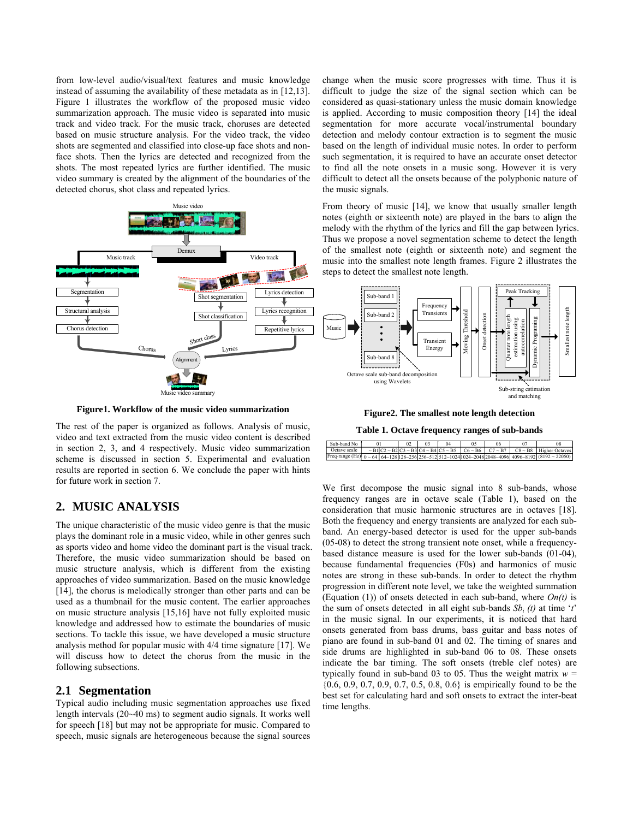from low-level audio/visual/text features and music knowledge instead of assuming the availability of these metadata as in [12,13]. Figure 1 illustrates the workflow of the proposed music video summarization approach. The music video is separated into music track and video track. For the music track, choruses are detected based on music structure analysis. For the video track, the video shots are segmented and classified into close-up face shots and nonface shots. Then the lyrics are detected and recognized from the shots. The most repeated lyrics are further identified. The music video summary is created by the alignment of the boundaries of the detected chorus, shot class and repeated lyrics.



**Figure1. Workflow of the music video summarization** 

The rest of the paper is organized as follows. Analysis of music, video and text extracted from the music video content is described in section 2, 3, and 4 respectively. Music video summarization scheme is discussed in section 5. Experimental and evaluation results are reported in section 6. We conclude the paper with hints for future work in section 7.

## **2. MUSIC ANALYSIS**

The unique characteristic of the music video genre is that the music plays the dominant role in a music video, while in other genres such as sports video and home video the dominant part is the visual track. Therefore, the music video summarization should be based on music structure analysis, which is different from the existing approaches of video summarization. Based on the music knowledge [14], the chorus is melodically stronger than other parts and can be used as a thumbnail for the music content. The earlier approaches on music structure analysis [15,16] have not fully exploited music knowledge and addressed how to estimate the boundaries of music sections. To tackle this issue, we have developed a music structure analysis method for popular music with 4/4 time signature [17]. We will discuss how to detect the chorus from the music in the following subsections.

#### **2.1 Segmentation**

Typical audio including music segmentation approaches use fixed length intervals (20~40 ms) to segment audio signals. It works well for speech [18] but may not be appropriate for music. Compared to speech, music signals are heterogeneous because the signal sources change when the music score progresses with time. Thus it is difficult to judge the size of the signal section which can be considered as quasi-stationary unless the music domain knowledge is applied. According to music composition theory [14] the ideal segmentation for more accurate vocal/instrumental boundary detection and melody contour extraction is to segment the music based on the length of individual music notes. In order to perform such segmentation, it is required to have an accurate onset detector to find all the note onsets in a music song. However it is very difficult to detect all the onsets because of the polyphonic nature of the music signals.

From theory of music [14], we know that usually smaller length notes (eighth or sixteenth note) are played in the bars to align the melody with the rhythm of the lyrics and fill the gap between lyrics. Thus we propose a novel segmentation scheme to detect the length of the smallest note (eighth or sixteenth note) and segment the music into the smallest note length frames. Figure 2 illustrates the steps to detect the smallest note length.



**Figure2. The smallest note length detection**

**Table 1. Octave frequency ranges of sub-bands**

| Sub-band No               |  |  | 04 | 06 |                                                                                                                             |
|---------------------------|--|--|----|----|-----------------------------------------------------------------------------------------------------------------------------|
| <sup>1</sup> Octave scale |  |  |    |    | $\sim$ B1 C2 $\sim$ B2 C3 $\sim$ B3 C4 $\sim$ B4 C5 $\sim$ B5   C6 $\sim$ B6   C7 $\sim$ B7   C8 $\sim$ B8   Higher Octaves |
|                           |  |  |    |    | Freq-range (Hz) $0 \sim 64$ 64~128 128~256 256~512 512~1024 024~2048 2048~4096 4096~8192 (8192 ~ 22050)                     |

We first decompose the music signal into 8 sub-bands, whose frequency ranges are in octave scale (Table 1), based on the consideration that music harmonic structures are in octaves [18]. Both the frequency and energy transients are analyzed for each subband. An energy-based detector is used for the upper sub-bands (05-08) to detect the strong transient note onset, while a frequencybased distance measure is used for the lower sub-bands (01-04), because fundamental frequencies (F0s) and harmonics of music notes are strong in these sub-bands. In order to detect the rhythm progression in different note level, we take the weighted summation (Equation (1)) of onsets detected in each sub-band, where *On(t)* is the sum of onsets detected in all eight sub-bands  $Sb_i(t)$  at time '*t*' in the music signal. In our experiments, it is noticed that hard onsets generated from bass drums, bass guitar and bass notes of piano are found in sub-band 01 and 02. The timing of snares and side drums are highlighted in sub-band 06 to 08. These onsets indicate the bar timing. The soft onsets (treble clef notes) are typically found in sub-band 03 to 05. Thus the weight matrix  $w =$ {0.6, 0.9, 0.7, 0.9, 0.7, 0.5, 0.8, 0.6} is empirically found to be the best set for calculating hard and soft onsets to extract the inter-beat time lengths.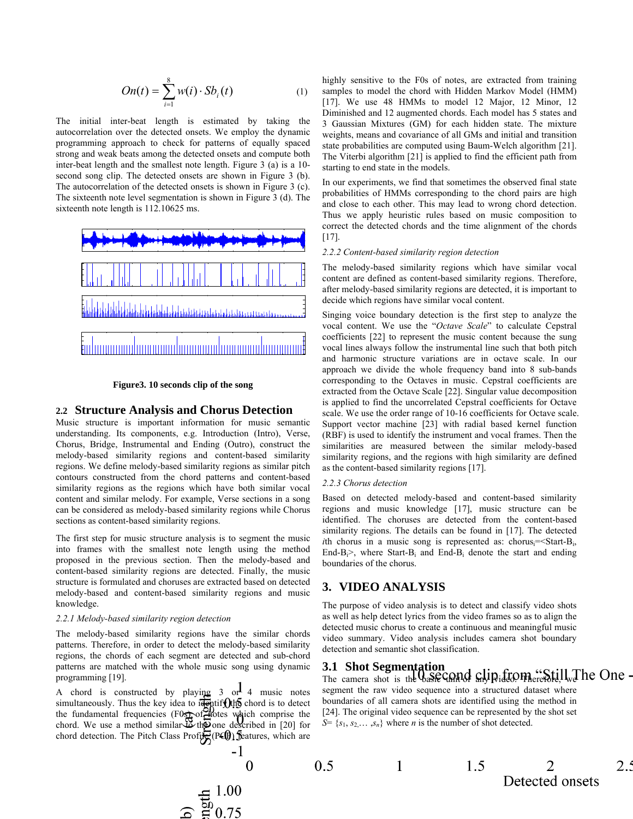$$
On(t) = \sum_{i=1}^{8} w(i) \cdot Sb_i(t)
$$
 (1)

The initial inter-beat length is estimated by taking the autocorrelation over the detected onsets. We employ the dynamic programming approach to check for patterns of equally spaced strong and weak beats among the detected onsets and compute both inter-beat length and the smallest note length. Figure 3 (a) is a 10 second song clip. The detected onsets are shown in Figure 3 (b). The autocorrelation of the detected onsets is shown in Figure 3 (c). The sixteenth note level segmentation is shown in Figure 3 (d). The sixteenth note length is 112.10625 ms.





#### **2.2 Structure Analysis and Chorus Detection**

Music structure is important information for music semantic understanding. Its components, e.g. Introduction (Intro), Verse, Chorus, Bridge, Instrumental and Ending (Outro), construct the melody-based similarity regions and content-based similarity regions. We define melody-based similarity regions as similar pitch contours constructed from the chord patterns and content-based similarity regions as the regions which have both similar vocal content and similar melody. For example, Verse sections in a song can be considered as melody-based similarity regions while Chorus sections as content-based similarity regions.

The first step for music structure analysis is to segment the music into frames with the smallest note length using the method proposed in the previous section. Then the melody-based and content-based similarity regions are detected. Finally, the music structure is formulated and choruses are extracted based on detected melody-based and content-based similarity regions and music knowledge.

#### *2.2.1 Melody-based similarity region detection*

The melody-based similarity regions have the similar chords patterns. Therefore, in order to detect the melody-based similarity regions, the chords of each segment are detected and sub-chord patterns are matched with the whole music song using dynamic programming [19].

A chord is constructed by playing  $3$  or 4 music notes simultaneously. Thus the key idea to  $\frac{d}{d}$  the chord is to detect the fundamental frequencies ( $F0$ s) of notes which comprise the chord. We use a method similar to the one described in [20] for chord detection. The Pitch Class Profile  $(PQ)$  features, which are highly sensitive to the F0s of notes, are extracted from training samples to model the chord with Hidden Markov Model (HMM) [17]. We use 48 HMMs to model 12 Major, 12 Minor, 12 Diminished and 12 augmented chords. Each model has 5 states and 3 Gaussian Mixtures (GM) for each hidden state. The mixture weights, means and covariance of all GMs and initial and transition state probabilities are computed using Baum-Welch algorithm [21]. The Viterbi algorithm [21] is applied to find the efficient path from starting to end state in the models.

In our experiments, we find that sometimes the observed final state probabilities of HMMs corresponding to the chord pairs are high and close to each other. This may lead to wrong chord detection. Thus we apply heuristic rules based on music composition to correct the detected chords and the time alignment of the chords [17].

#### *2.2.2 Content-based similarity region detection*

The melody-based similarity regions which have similar vocal content are defined as content-based similarity regions. Therefore, after melody-based similarity regions are detected, it is important to decide which regions have similar vocal content.

Singing voice boundary detection is the first step to analyze the vocal content. We use the "*Octave Scale*" to calculate Cepstral coefficients [22] to represent the music content because the sung vocal lines always follow the instrumental line such that both pitch and harmonic structure variations are in octave scale. In our approach we divide the whole frequency band into 8 sub-bands corresponding to the Octaves in music. Cepstral coefficients are extracted from the Octave Scale [22]. Singular value decomposition is applied to find the uncorrelated Cepstral coefficients for Octave scale. We use the order range of 10-16 coefficients for Octave scale. Support vector machine [23] with radial based kernel function (RBF) is used to identify the instrument and vocal frames. Then the similarities are measured between the similar melody-based similarity regions, and the regions with high similarity are defined as the content-based similarity regions [17].

#### *2.2.3 Chorus detection*

Based on detected melody-based and content-based similarity regions and music knowledge [17], music structure can be identified. The choruses are detected from the content-based similarity regions. The details can be found in [17]. The detected *i*th chorus in a music song is represented as: chorus $=$ Start-B<sub>i</sub>, End-B<sub>i</sub> $>$ , where Start-B<sub>i</sub> and End-B<sub>i</sub> denote the start and ending boundaries of the chorus.

### **3. VIDEO ANALYSIS**

The purpose of video analysis is to detect and classify video shots as well as help detect lyrics from the video frames so as to align the detected music chorus to create a continuous and meaningful music video summary. Video analysis includes camera shot boundary detection and semantic shot classification.

### **3.1 Shot Segmentation**

 $\sum_{\text{The camera shot is the } 0.85 \text{ C}$  and  $\sum_{\text{the } 1}$  and  $\sum_{\text{the } 2}$  and  $\sum_{\text{the } 2}$  and  $\sum_{\text{the } 2}$  and  $\sum_{\text{the } 2}$  and  $\sum_{\text{the } 2}$  and  $\sum_{\text{the } 2}$  and  $\sum_{\text{the } 2}$  and  $\sum_{\text{the } 2}$  and  $\sum_{\text{the } 2}$  and  $\sum_{\text{the } 2}$ segment the raw video sequence into a structured dataset where boundaries of all camera shots are identified using the method in [24]. The original video sequence can be represented by the shot set  $S = \{s_1, s_2, \ldots, s_n\}$  where *n* is the number of shot detected.

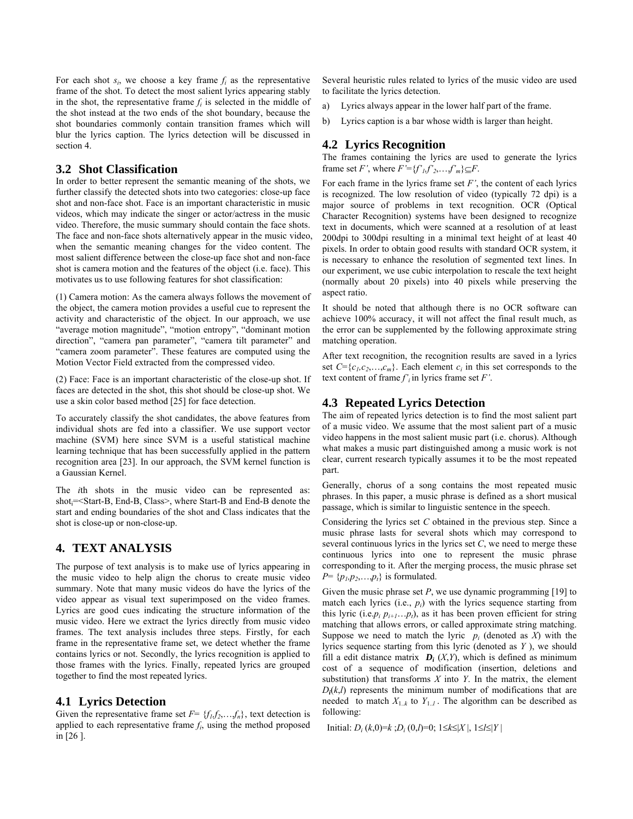For each shot  $s_i$ , we choose a key frame  $f_i$  as the representative frame of the shot. To detect the most salient lyrics appearing stably in the shot, the representative frame  $f_i$  is selected in the middle of the shot instead at the two ends of the shot boundary, because the shot boundaries commonly contain transition frames which will blur the lyrics caption. The lyrics detection will be discussed in section 4.

### **3.2 Shot Classification**

In order to better represent the semantic meaning of the shots, we further classify the detected shots into two categories: close-up face shot and non-face shot. Face is an important characteristic in music videos, which may indicate the singer or actor/actress in the music video. Therefore, the music summary should contain the face shots. The face and non-face shots alternatively appear in the music video, when the semantic meaning changes for the video content. The most salient difference between the close-up face shot and non-face shot is camera motion and the features of the object (i.e. face). This motivates us to use following features for shot classification:

(1) Camera motion: As the camera always follows the movement of the object, the camera motion provides a useful cue to represent the activity and characteristic of the object. In our approach, we use "average motion magnitude", "motion entropy", "dominant motion direction", "camera pan parameter", "camera tilt parameter" and "camera zoom parameter". These features are computed using the Motion Vector Field extracted from the compressed video.

(2) Face: Face is an important characteristic of the close-up shot. If faces are detected in the shot, this shot should be close-up shot. We use a skin color based method [25] for face detection.

To accurately classify the shot candidates, the above features from individual shots are fed into a classifier. We use support vector machine (SVM) here since SVM is a useful statistical machine learning technique that has been successfully applied in the pattern recognition area [23]. In our approach, the SVM kernel function is a Gaussian Kernel.

The *i*th shots in the music video can be represented as: shoti=<Start-B, End-B, Class>, where Start-B and End-B denote the start and ending boundaries of the shot and Class indicates that the shot is close-up or non-close-up.

## **4. TEXT ANALYSIS**

The purpose of text analysis is to make use of lyrics appearing in the music video to help align the chorus to create music video summary. Note that many music videos do have the lyrics of the video appear as visual text superimposed on the video frames. Lyrics are good cues indicating the structure information of the music video. Here we extract the lyrics directly from music video frames. The text analysis includes three steps. Firstly, for each frame in the representative frame set, we detect whether the frame contains lyrics or not. Secondly, the lyrics recognition is applied to those frames with the lyrics. Finally, repeated lyrics are grouped together to find the most repeated lyrics.

### **4.1 Lyrics Detection**

Given the representative frame set  $F = \{f_1, f_2, \ldots, f_n\}$ , text detection is applied to each representative frame  $f_i$ , using the method proposed in [26 ].

Several heuristic rules related to lyrics of the music video are used to facilitate the lyrics detection.

- a) Lyrics always appear in the lower half part of the frame.
- b) Lyrics caption is a bar whose width is larger than height.

# **4.2 Lyrics Recognition**

The frames containing the lyrics are used to generate the lyrics frame set *F'*, where  $F' = \{f'_1, f'_2, \ldots, f'_m\} \subseteq F$ .

For each frame in the lyrics frame set *F'*, the content of each lyrics is recognized. The low resolution of video (typically 72 dpi) is a major source of problems in text recognition. OCR (Optical Character Recognition) systems have been designed to recognize text in documents, which were scanned at a resolution of at least 200dpi to 300dpi resulting in a minimal text height of at least 40 pixels. In order to obtain good results with standard OCR system, it is necessary to enhance the resolution of segmented text lines. In our experiment, we use cubic interpolation to rescale the text height (normally about 20 pixels) into 40 pixels while preserving the aspect ratio.

It should be noted that although there is no OCR software can achieve 100% accuracy, it will not affect the final result much, as the error can be supplemented by the following approximate string matching operation.

After text recognition, the recognition results are saved in a lyrics set  $C = \{c_1, c_2, \ldots, c_m\}$ . Each element  $c_i$  in this set corresponds to the text content of frame  $f'$  in lyrics frame set  $F'$ .

# **4.3 Repeated Lyrics Detection**

The aim of repeated lyrics detection is to find the most salient part of a music video. We assume that the most salient part of a music video happens in the most salient music part (i.e. chorus). Although what makes a music part distinguished among a music work is not clear, current research typically assumes it to be the most repeated part.

Generally, chorus of a song contains the most repeated music phrases. In this paper, a music phrase is defined as a short musical passage, which is similar to linguistic sentence in the speech.

Considering the lyrics set *C* obtained in the previous step. Since a music phrase lasts for several shots which may correspond to several continuous lyrics in the lyrics set *C*, we need to merge these continuous lyrics into one to represent the music phrase corresponding to it. After the merging process, the music phrase set  $P = \{p_1, p_2, \ldots, p_t\}$  is formulated.

Given the music phrase set *P*, we use dynamic programming [19] to match each lyrics  $(i.e., p<sub>i</sub>)$  with the lyrics sequence starting from this lyric (i.e. $p_i p_{i+1} \ldots p_t$ ), as it has been proven efficient for string matching that allows errors, or called approximate string matching. Suppose we need to match the lyric  $p_i$  (denoted as  $X$ ) with the lyrics sequence starting from this lyric (denoted as *Y* ), we should fill a edit distance matrix  $D_i$  (*X,Y*), which is defined as minimum cost of a sequence of modification (insertion, deletions and substitution) that transforms *X* into *Y*. In the matrix, the element  $D_i(k,l)$  represents the minimum number of modifications that are needed to match  $X_{1,k}$  to  $Y_{1,l}$ . The algorithm can be described as following:

Initial: *D<sub>i</sub>* (*k*,0)=*k* ;*D<sub>i</sub>* (0,*l*)=0; 1≤*k*≤|*X* |, 1≤*l*≤|*Y* |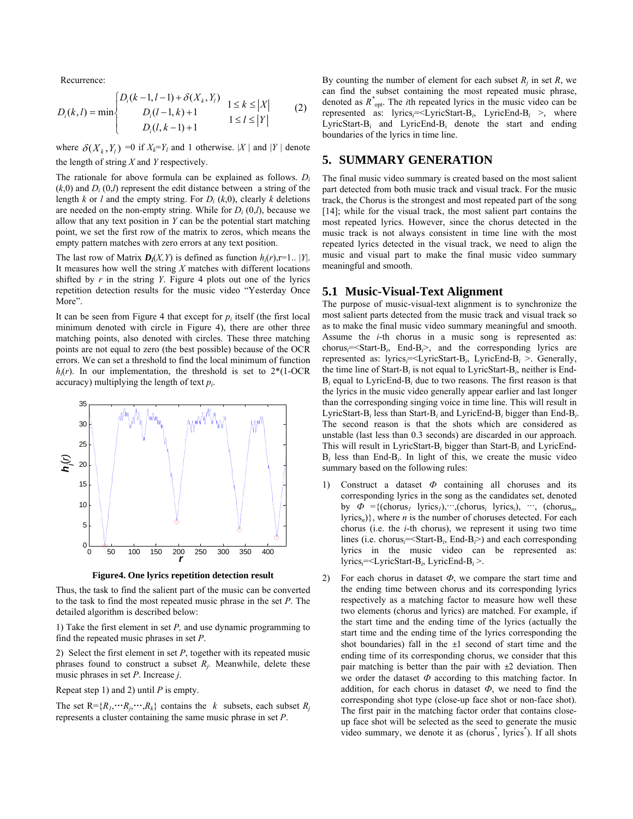Recurrence:

$$
D_i(k, l) = \min \begin{cases} D_i(k-1, l-1) + \delta(X_k, Y_l) & 1 \le k \le |X| \\ D_i(l-1, k) + 1 & 1 \le l \le |Y| \\ D_i(l, k-1) + 1 & 1 \le l \le |Y| \end{cases}
$$
 (2)

where  $\delta(X_k, Y_l) = 0$  if  $X_k = Y_l$  and 1 otherwise. |X| and |Y| denote the length of string *X* and *Y* respectively.

The rationale for above formula can be explained as follows. *Di*  $(k,0)$  and  $D_i(0,l)$  represent the edit distance between a string of the length *k* or *l* and the empty string. For  $D_i$  (*k*,0), clearly *k* deletions are needed on the non-empty string. While for  $D_i(0,l)$ , because we allow that any text position in *Y* can be the potential start matching point, we set the first row of the matrix to zeros, which means the empty pattern matches with zero errors at any text position.

The last row of Matrix  $D_i(X, Y)$  is defined as function  $h_i(r)$ ,r=1.. |*Y*|. It measures how well the string *X* matches with different locations shifted by *r* in the string *Y*. Figure 4 plots out one of the lyrics repetition detection results for the music video "Yesterday Once More".

It can be seen from Figure 4 that except for  $p_i$  itself (the first local minimum denoted with circle in Figure 4), there are other three matching points, also denoted with circles. These three matching points are not equal to zero (the best possible) because of the OCR errors. We can set a threshold to find the local minimum of function  $h_i(r)$ . In our implementation, the threshold is set to  $2*(1-OCR)$ accuracy) multiplying the length of text *pi*.



**Figure4. One lyrics repetition detection result** 

Thus, the task to find the salient part of the music can be converted to the task to find the most repeated music phrase in the set *P*. The detailed algorithm is described below:

1) Take the first element in set *P,* and use dynamic programming to find the repeated music phrases in set *P*.

2) Select the first element in set *P*, together with its repeated music phrases found to construct a subset *Rj.* Meanwhile, delete these music phrases in set *P*. Increase *j*.

Repeat step 1) and 2) until *P* is empty.

The set  $R = \{R_1, \dots, R_i\}$  contains the *k* subsets, each subset  $R_i$ represents a cluster containing the same music phrase in set *P*.

By counting the number of element for each subset  $R_j$  in set  $R_j$ , we can find the subset containing the most repeated music phrase, denoted as  $R^*_{opt}$ . The *i*th repeated lyrics in the music video can be represented as: lyrics*i*=<LyricStart-B*i*, LyricEnd-B*i* >, where LyricStart-Bi and LyricEnd-Bi denote the start and ending boundaries of the lyrics in time line.

### **5. SUMMARY GENERATION**

The final music video summary is created based on the most salient part detected from both music track and visual track. For the music track, the Chorus is the strongest and most repeated part of the song [14]; while for the visual track, the most salient part contains the most repeated lyrics. However, since the chorus detected in the music track is not always consistent in time line with the most repeated lyrics detected in the visual track, we need to align the music and visual part to make the final music video summary meaningful and smooth.

### **5.1 Music-Visual-Text Alignment**

The purpose of music-visual-text alignment is to synchronize the most salient parts detected from the music track and visual track so as to make the final music video summary meaningful and smooth. Assume the *i*-th chorus in a music song is represented as: chorus*i*=<Start-B*i*, End-B*i*>, and the corresponding lyrics are represented as: lyrics*i*=<LyricStart-B*i*, LyricEnd-B*i* >. Generally, the time line of Start-B*i* is not equal to LyricStart-B*i*, neither is End-B*i* equal to LyricEnd-B*i* due to two reasons. The first reason is that the lyrics in the music video generally appear earlier and last longer than the corresponding singing voice in time line. This will result in LyricStart-B*i* less than Start-B*i* and LyricEnd-B*<sup>i</sup>* bigger than End-B*i*. The second reason is that the shots which are considered as unstable (last less than 0.3 seconds) are discarded in our approach. This will result in LyricStart-B*<sup>i</sup>* bigger than Start-B*i* and LyricEnd-B*i* less than End-B*i*. In light of this, we create the music video summary based on the following rules:

- 1) Construct a dataset *Ф* containing all choruses and its corresponding lyrics in the song as the candidates set, denoted by  $\Phi = \{(\text{chorus}_l \mid \text{lyrics}_l), \cdots, (\text{chorus}_i \mid \text{lyrics}_l), \cdots, (\text{chorus}_n, \cdots, \text{chorus}_n)\}$  $\{lyrics_n\}$ , where *n* is the number of choruses detected. For each chorus (i.e. the *i*-th chorus), we represent it using two time lines (i.e. chorus*i*=<Start-B*i*, End-B*i*>) and each corresponding lyrics in the music video can be represented as: lyrics*i*=<LyricStart-B*i*, LyricEnd-B*i* >.
- 2) For each chorus in dataset *Ф*, we compare the start time and the ending time between chorus and its corresponding lyrics respectively as a matching factor to measure how well these two elements (chorus and lyrics) are matched. For example, if the start time and the ending time of the lyrics (actually the start time and the ending time of the lyrics corresponding the shot boundaries) fall in the *±*1 second of start time and the ending time of its corresponding chorus, we consider that this pair matching is better than the pair with *±*2 deviation. Then we order the dataset *Ф* according to this matching factor. In addition, for each chorus in dataset  $\Phi$ , we need to find the corresponding shot type (close-up face shot or non-face shot). The first pair in the matching factor order that contains closeup face shot will be selected as the seed to generate the music video summary, we denote it as (chorus<sup>\*</sup>, lyrics<sup>\*</sup>). If all shots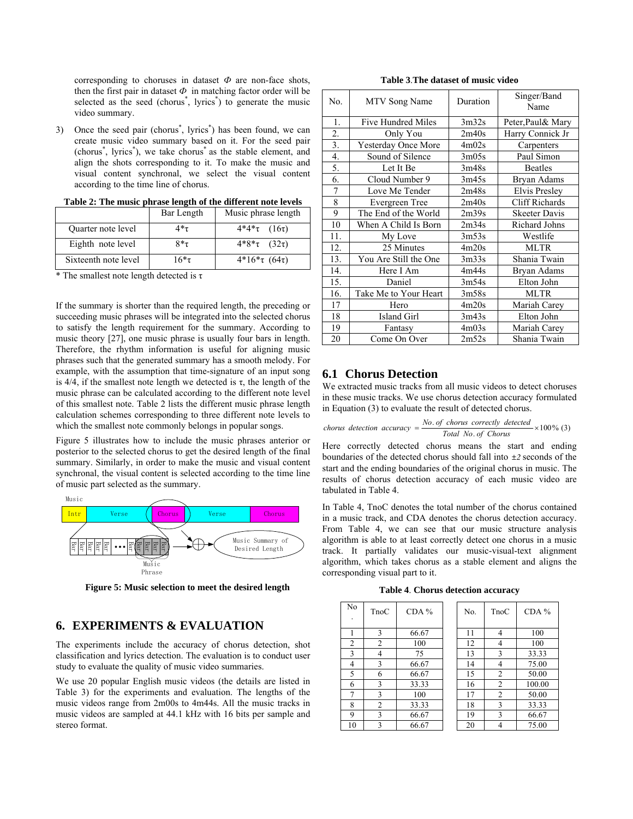corresponding to choruses in dataset  $\Phi$  are non-face shots, then the first pair in dataset  $\Phi$  in matching factor order will be selected as the seed (chorus<sup>\*</sup>, lyrics<sup>\*</sup>) to generate the music video summary.

3) Once the seed pair (chorus<sup>\*</sup>, lyrics<sup>\*</sup>) has been found, we can create music video summary based on it. For the seed pair (chorus\* , lyrics\* ), we take chorus\* as the stable element, and align the shots corresponding to it. To make the music and visual content synchronal, we select the visual content according to the time line of chorus.

|                      | Bar Length | Music phrase length     |  |  |
|----------------------|------------|-------------------------|--|--|
| Quarter note level   | 4*τ        | $4*4*\tau$ (16 $\tau$ ) |  |  |
| Eighth note level    | $8*_7$     | $4*8*\tau$ (32 $\tau$ ) |  |  |
| Sixteenth note level | 16*τ       | $4*16*\tau (64\tau)$    |  |  |

**Table 2: The music phrase length of the different note levels**

\* The smallest note length detected is  $\tau$ 

If the summary is shorter than the required length, the preceding or succeeding music phrases will be integrated into the selected chorus to satisfy the length requirement for the summary. According to music theory [27], one music phrase is usually four bars in length. Therefore, the rhythm information is useful for aligning music phrases such that the generated summary has a smooth melody. For example, with the assumption that time-signature of an input song is 4/4, if the smallest note length we detected is τ, the length of the music phrase can be calculated according to the different note level of this smallest note. Table 2 lists the different music phrase length calculation schemes corresponding to three different note levels to which the smallest note commonly belongs in popular songs.

Figure 5 illustrates how to include the music phrases anterior or posterior to the selected chorus to get the desired length of the final summary. Similarly, in order to make the music and visual content synchronal, the visual content is selected according to the time line of music part selected as the summary.



**Figure 5: Music selection to meet the desired length**

### **6. EXPERIMENTS & EVALUATION**

The experiments include the accuracy of chorus detection, shot classification and lyrics detection. The evaluation is to conduct user study to evaluate the quality of music video summaries.

We use 20 popular English music videos (the details are listed in Table 3) for the experiments and evaluation. The lengths of the music videos range from 2m00s to 4m44s. All the music tracks in music videos are sampled at 44.1 kHz with 16 bits per sample and stereo format.

| Table 3. The dataset of music video |  |  |  |
|-------------------------------------|--|--|--|
|-------------------------------------|--|--|--|

| No.              | MTV Song Name         | Duration | Singer/Band<br>Name   |  |
|------------------|-----------------------|----------|-----------------------|--|
| 1.               | Five Hundred Miles    | 3m32s    | Peter, Paul & Mary    |  |
| 2.               | Only You              | 2m40s    | Harry Connick Jr      |  |
| $\overline{3}$ . | Yesterday Once More   | 4m02s    | Carpenters            |  |
| $\overline{4}$ . | Sound of Silence      | 3m05s    | Paul Simon            |  |
| 5.               | Let It Be             | 3m48s    | <b>Beatles</b>        |  |
| 6.               | Cloud Number 9        | 3m45s    | Bryan Adams           |  |
| 7                | Love Me Tender        | 2m48s    | Elvis Presley         |  |
| 8                | Evergreen Tree        | 2m40s    | <b>Cliff Richards</b> |  |
| 9                | The End of the World  | 2m39s    | <b>Skeeter Davis</b>  |  |
| 10               | When A Child Is Born  | 2m34s    | Richard Johns         |  |
| 11.              | My Love               | 3m53s    | Westlife              |  |
| 12.              | 25 Minutes            | 4m20s    | <b>MLTR</b>           |  |
| 13.              | You Are Still the One | 3m33s    | Shania Twain          |  |
| 14.              | Here I Am             | 4m44s    | Bryan Adams           |  |
| 15.              | Daniel                | 3m54s    | Elton John            |  |
| 16.              | Take Me to Your Heart | 3m58s    | MLTR                  |  |
| 17               | Hero                  | 4m20s    | Mariah Carey          |  |
| 18               | Island Girl           | 3m43s    | Elton John            |  |
| 19               | Fantasy               | 4m03s    | Mariah Carey          |  |
| 20               | Come On Over          | 2m52s    | Shania Twain          |  |

### **6.1 Chorus Detection**

We extracted music tracks from all music videos to detect choruses in these music tracks. We use chorus detection accuracy formulated in Equation (3) to evaluate the result of detected chorus.

$$
chorus detection accuracy = \frac{No. of chorus correctly detected}{Total No. of Chorus} \times 100\% (3)
$$

Here correctly detected chorus means the start and ending boundaries of the detected chorus should fall into *±2* seconds of the start and the ending boundaries of the original chorus in music. The results of chorus detection accuracy of each music video are tabulated in Table 4.

In Table 4, TnoC denotes the total number of the chorus contained in a music track, and CDA denotes the chorus detection accuracy. From Table 4, we can see that our music structure analysis algorithm is able to at least correctly detect one chorus in a music track. It partially validates our music-visual-text alignment algorithm, which takes chorus as a stable element and aligns the corresponding visual part to it.

**Table 4**. **Chorus detection accuracy**

| No             | TnoC | $CDA\%$ | No. | TnoC           | $CDA\%$ |
|----------------|------|---------|-----|----------------|---------|
|                | 3    | 66.67   | 11  | 4              | 100     |
| $\overline{2}$ | 2    | 100     | 12  | $\overline{4}$ | 100     |
| 3              | 4    | 75      | 13  | 3              | 33.33   |
| 4              | 3    | 66.67   | 14  | 4              | 75.00   |
| 5              | 6    | 66.67   | 15  | $\overline{2}$ | 50.00   |
| 6              | 3    | 33.33   | 16  | $\overline{2}$ | 100.00  |
| 7              | 3    | 100     | 17  | $\overline{2}$ | 50.00   |
| 8              | 2    | 33.33   | 18  | 3              | 33.33   |
| 9              | 3    | 66.67   | 19  | 3              | 66.67   |
| 10             | 3    | 66.67   | 20  |                | 75.00   |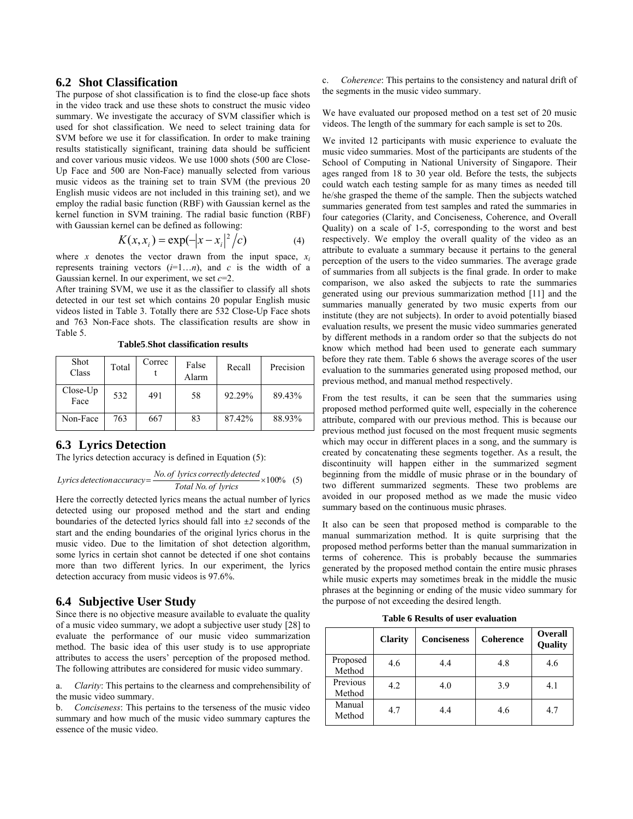### **6.2 Shot Classification**

The purpose of shot classification is to find the close-up face shots in the video track and use these shots to construct the music video summary. We investigate the accuracy of SVM classifier which is used for shot classification. We need to select training data for SVM before we use it for classification. In order to make training results statistically significant, training data should be sufficient and cover various music videos. We use 1000 shots (500 are Close-Up Face and 500 are Non-Face) manually selected from various music videos as the training set to train SVM (the previous 20 English music videos are not included in this training set), and we employ the radial basic function (RBF) with Gaussian kernel as the kernel function in SVM training. The radial basic function (RBF) with Gaussian kernel can be defined as following:

$$
K(x, x_i) = \exp(-|x - x_i|^2/c)
$$
 (4)

where *x* denotes the vector drawn from the input space,  $x_i$ represents training vectors  $(i=1...n)$ , and *c* is the width of a Gaussian kernel. In our experiment, we set *c*=2.

After training SVM, we use it as the classifier to classify all shots detected in our test set which contains 20 popular English music videos listed in Table 3. Totally there are 532 Close-Up Face shots and 763 Non-Face shots. The classification results are show in Table 5.

| Shot<br>Class      | Total | Correc | False<br>Alarm | Recall | Precision |
|--------------------|-------|--------|----------------|--------|-----------|
| $Close-Up$<br>Face | 532   | 491    | 58             | 92.29% | 89.43%    |
| Non-Face           | 763   | 667    | 83             | 87.42% | 88.93%    |

**Table5**.**Shot classification results**

### **6.3 Lyrics Detection**

The lyrics detection accuracy is defined in Equation (5):

Lyrics detection accuracy = 
$$
\frac{No. of \text{lyrics correctly detected}}{Total \text{No. of \text{lyrics}}}
$$
 × 100% (5)

Here the correctly detected lyrics means the actual number of lyrics detected using our proposed method and the start and ending boundaries of the detected lyrics should fall into *±2* seconds of the start and the ending boundaries of the original lyrics chorus in the music video. Due to the limitation of shot detection algorithm, some lyrics in certain shot cannot be detected if one shot contains more than two different lyrics. In our experiment, the lyrics detection accuracy from music videos is 97.6%.

### **6.4 Subjective User Study**

Since there is no objective measure available to evaluate the quality of a music video summary, we adopt a subjective user study [28] to evaluate the performance of our music video summarization method. The basic idea of this user study is to use appropriate attributes to access the users' perception of the proposed method. The following attributes are considered for music video summary.

a. *Clarity*: This pertains to the clearness and comprehensibility of the music video summary.

b. *Conciseness*: This pertains to the terseness of the music video summary and how much of the music video summary captures the essence of the music video.

c. *Coherence*: This pertains to the consistency and natural drift of the segments in the music video summary.

We have evaluated our proposed method on a test set of 20 music videos. The length of the summary for each sample is set to 20s.

We invited 12 participants with music experience to evaluate the music video summaries. Most of the participants are students of the School of Computing in National University of Singapore. Their ages ranged from 18 to 30 year old. Before the tests, the subjects could watch each testing sample for as many times as needed till he/she grasped the theme of the sample. Then the subjects watched summaries generated from test samples and rated the summaries in four categories (Clarity, and Conciseness, Coherence, and Overall Quality) on a scale of 1-5, corresponding to the worst and best respectively. We employ the overall quality of the video as an attribute to evaluate a summary because it pertains to the general perception of the users to the video summaries. The average grade of summaries from all subjects is the final grade. In order to make comparison, we also asked the subjects to rate the summaries generated using our previous summarization method [11] and the summaries manually generated by two music experts from our institute (they are not subjects). In order to avoid potentially biased evaluation results, we present the music video summaries generated by different methods in a random order so that the subjects do not know which method had been used to generate each summary before they rate them. Table 6 shows the average scores of the user evaluation to the summaries generated using proposed method, our previous method, and manual method respectively.

From the test results, it can be seen that the summaries using proposed method performed quite well, especially in the coherence attribute, compared with our previous method. This is because our previous method just focused on the most frequent music segments which may occur in different places in a song, and the summary is created by concatenating these segments together. As a result, the discontinuity will happen either in the summarized segment beginning from the middle of music phrase or in the boundary of two different summarized segments. These two problems are avoided in our proposed method as we made the music video summary based on the continuous music phrases.

It also can be seen that proposed method is comparable to the manual summarization method. It is quite surprising that the proposed method performs better than the manual summarization in terms of coherence. This is probably because the summaries generated by the proposed method contain the entire music phrases while music experts may sometimes break in the middle the music phrases at the beginning or ending of the music video summary for the purpose of not exceeding the desired length.

**Table 6 Results of user evaluation**

|                    | <b>Clarity</b> | <b>Conciseness</b> | <b>Coherence</b> | <b>Overall</b><br><b>Quality</b> |
|--------------------|----------------|--------------------|------------------|----------------------------------|
| Proposed<br>Method | 4.6            | 4.4                | 4.8              | 4.6                              |
| Previous<br>Method | 4.2            | 4.0                | 3.9              | 4.1                              |
| Manual<br>Method   | 4.7            | 4.4                | 4.6              | 4.7                              |